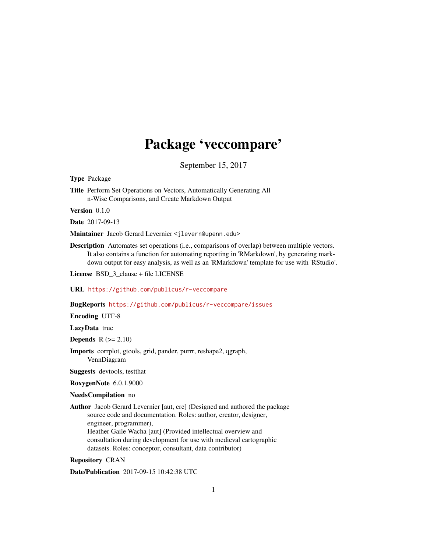# Package 'veccompare'

September 15, 2017

<span id="page-0-0"></span>Type Package

Title Perform Set Operations on Vectors, Automatically Generating All n-Wise Comparisons, and Create Markdown Output

Version 0.1.0

Date 2017-09-13

Maintainer Jacob Gerard Levernier <jlevern@upenn.edu>

Description Automates set operations (i.e., comparisons of overlap) between multiple vectors. It also contains a function for automating reporting in 'RMarkdown', by generating markdown output for easy analysis, as well as an 'RMarkdown' template for use with 'RStudio'.

License BSD\_3\_clause + file LICENSE

URL <https://github.com/publicus/r-veccompare>

BugReports <https://github.com/publicus/r-veccompare/issues>

Encoding UTF-8

LazyData true

**Depends**  $R$  ( $>= 2.10$ )

Imports corrplot, gtools, grid, pander, purrr, reshape2, qgraph, VennDiagram

Suggests devtools, testthat

RoxygenNote 6.0.1.9000

#### NeedsCompilation no

Author Jacob Gerard Levernier [aut, cre] (Designed and authored the package source code and documentation. Roles: author, creator, designer, engineer, programmer), Heather Gaile Wacha [aut] (Provided intellectual overview and consultation during development for use with medieval cartographic datasets. Roles: conceptor, consultant, data contributor)

Repository CRAN

Date/Publication 2017-09-15 10:42:38 UTC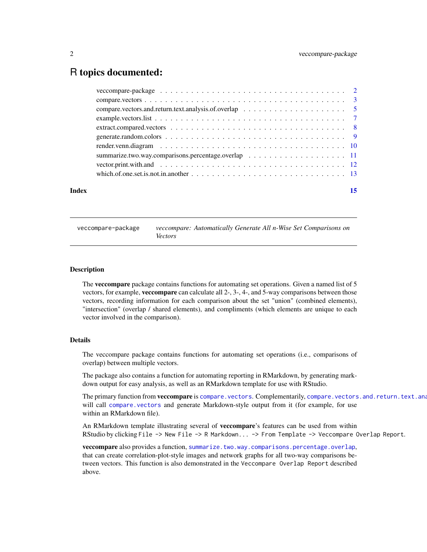# <span id="page-1-0"></span>R topics documented:

| Index |  |  |  |  |  |  |  |  | 15 |
|-------|--|--|--|--|--|--|--|--|----|
|       |  |  |  |  |  |  |  |  |    |
|       |  |  |  |  |  |  |  |  |    |
|       |  |  |  |  |  |  |  |  |    |
|       |  |  |  |  |  |  |  |  |    |
|       |  |  |  |  |  |  |  |  |    |
|       |  |  |  |  |  |  |  |  |    |
|       |  |  |  |  |  |  |  |  |    |
|       |  |  |  |  |  |  |  |  |    |
|       |  |  |  |  |  |  |  |  |    |
|       |  |  |  |  |  |  |  |  |    |

veccompare-package *veccompare: Automatically Generate All n-Wise Set Comparisons on Vectors*

# Description

The veccompare package contains functions for automating set operations. Given a named list of 5 vectors, for example, veccompare can calculate all 2-, 3-, 4-, and 5-way comparisons between those vectors, recording information for each comparison about the set "union" (combined elements), "intersection" (overlap / shared elements), and compliments (which elements are unique to each vector involved in the comparison).

#### Details

The veccompare package contains functions for automating set operations (i.e., comparisons of overlap) between multiple vectors.

The package also contains a function for automating reporting in RMarkdown, by generating markdown output for easy analysis, as well as an RMarkdown template for use with RStudio.

The primary function from **veccompare** is [compare.vectors](#page-2-1). Complementarily, compare.vectors.and.return.text.ana will call [compare.vectors](#page-2-1) and generate Markdown-style output from it (for example, for use within an RMarkdown file).

An RMarkdown template illustrating several of veccompare's features can be used from within RStudio by clicking File -> New File -> R Markdown... -> From Template -> Veccompare Overlap Report.

veccompare also provides a function, [summarize.two.way.comparisons.percentage.overlap](#page-10-1), that can create correlation-plot-style images and network graphs for all two-way comparisons between vectors. This function is also demonstrated in the Veccompare Overlap Report described above.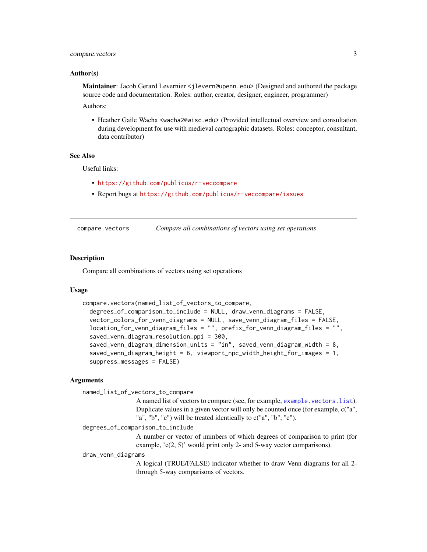# <span id="page-2-0"></span>compare.vectors 3

#### Author(s)

Maintainer: Jacob Gerard Levernier <jlevern@upenn.edu> (Designed and authored the package source code and documentation. Roles: author, creator, designer, engineer, programmer) Authors:

• Heather Gaile Wacha <wacha2@wisc.edu> (Provided intellectual overview and consultation during development for use with medieval cartographic datasets. Roles: conceptor, consultant, data contributor)

#### See Also

Useful links:

- <https://github.com/publicus/r-veccompare>
- Report bugs at <https://github.com/publicus/r-veccompare/issues>

<span id="page-2-1"></span>compare.vectors *Compare all combinations of vectors using set operations*

### Description

Compare all combinations of vectors using set operations

# Usage

```
compare.vectors(named_list_of_vectors_to_compare,
  degrees_of_comparison_to_include = NULL, draw_venn_diagrams = FALSE,
  vector_colors_for_venn_diagrams = NULL, save_venn_diagram_files = FALSE,
  location_for_venn_diagram_files = "", prefix_for_venn_diagram_files = "",
  saved_venn_diagram_resolution_ppi = 300,
  saved_venn_diagram_dimension_units = "in", saved_venn_diagram_width = 8,
  saved_venn_diagram_height = 6, viewport_npc_width_height_for_images = 1,
  suppress_messages = FALSE)
```
# Arguments

named\_list\_of\_vectors\_to\_compare

A named list of vectors to compare (see, for example, [example.vectors.list](#page-6-1)). Duplicate values in a given vector will only be counted once (for example, c("a", "a", "b", "c") will be treated identically to c("a", "b", "c").

degrees\_of\_comparison\_to\_include

A number or vector of numbers of which degrees of comparison to print (for example, 'c(2, 5)' would print only 2- and 5-way vector comparisons).

draw\_venn\_diagrams

A logical (TRUE/FALSE) indicator whether to draw Venn diagrams for all 2 through 5-way comparisons of vectors.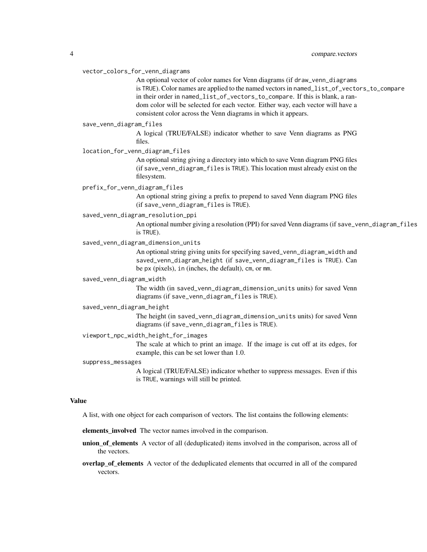#### vector\_colors\_for\_venn\_diagrams

An optional vector of color names for Venn diagrams (if draw\_venn\_diagrams is TRUE). Color names are applied to the named vectors in named\_list\_of\_vectors\_to\_compare in their order in named\_list\_of\_vectors\_to\_compare. If this is blank, a random color will be selected for each vector. Either way, each vector will have a consistent color across the Venn diagrams in which it appears.

#### save\_venn\_diagram\_files

A logical (TRUE/FALSE) indicator whether to save Venn diagrams as PNG files.

#### location\_for\_venn\_diagram\_files

An optional string giving a directory into which to save Venn diagram PNG files (if save\_venn\_diagram\_files is TRUE). This location must already exist on the filesystem.

# prefix\_for\_venn\_diagram\_files

An optional string giving a prefix to prepend to saved Venn diagram PNG files (if save\_venn\_diagram\_files is TRUE).

# saved\_venn\_diagram\_resolution\_ppi

An optional number giving a resolution (PPI) for saved Venn diagrams (if save\_venn\_diagram\_files is TRUE).

# saved\_venn\_diagram\_dimension\_units

An optional string giving units for specifying saved\_venn\_diagram\_width and saved\_venn\_diagram\_height (if save\_venn\_diagram\_files is TRUE). Can be px (pixels), in (inches, the default), cm, or mm.

#### saved\_venn\_diagram\_width

The width (in saved\_venn\_diagram\_dimension\_units units) for saved Venn diagrams (if save\_venn\_diagram\_files is TRUE).

#### saved\_venn\_diagram\_height

The height (in saved\_venn\_diagram\_dimension\_units units) for saved Venn diagrams (if save\_venn\_diagram\_files is TRUE).

# viewport\_npc\_width\_height\_for\_images

The scale at which to print an image. If the image is cut off at its edges, for example, this can be set lower than 1.0.

#### suppress\_messages

A logical (TRUE/FALSE) indicator whether to suppress messages. Even if this is TRUE, warnings will still be printed.

#### Value

A list, with one object for each comparison of vectors. The list contains the following elements:

#### elements\_involved The vector names involved in the comparison.

- union of elements A vector of all (deduplicated) items involved in the comparison, across all of the vectors.
- overlap\_of\_elements A vector of the deduplicated elements that occurred in all of the compared vectors.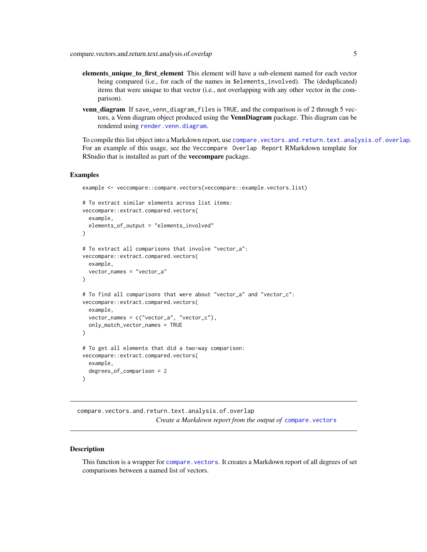- <span id="page-4-0"></span>elements\_unique\_to\_first\_element This element will have a sub-element named for each vector being compared (i.e., for each of the names in \$elements\_involved). The (deduplicated) items that were unique to that vector (i.e., not overlapping with any other vector in the comparison).
- venn\_diagram If save\_venn\_diagram\_files is TRUE, and the comparison is of 2 through 5 vectors, a Venn diagram object produced using the **VennDiagram** package. This diagram can be rendered using [render.venn.diagram](#page-9-1).

To compile this list object into a Markdown report, use [compare.vectors.and.return.text.analysis.of.overlap](#page-4-1). For an example of this usage, see the Veccompare Overlap Report RMarkdown template for RStudio that is installed as part of the veccompare package.

#### Examples

```
example <- veccompare::compare.vectors(veccompare::example.vectors.list)
# To extract similar elements across list items:
veccompare::extract.compared.vectors(
 example,
 elements_of_output = "elements_involved"
)
# To extract all comparisons that involve "vector_a":
veccompare::extract.compared.vectors(
 example,
 vector_names = "vector_a"
)
# To find all comparisons that were about "vector_a" and "vector_c":
veccompare::extract.compared.vectors(
 example,
 vector_names = c("vector_a", "vector_c"),
 only_match_vector_names = TRUE
)
# To get all elements that did a two-way comparison:
veccompare::extract.compared.vectors(
 example,
 degrees_of_comparison = 2
\mathcal{L}
```
<span id="page-4-1"></span>compare.vectors.and.return.text.analysis.of.overlap *Create a Markdown report from the output of* [compare.vectors](#page-2-1)

# Description

This function is a wrapper for compare. vectors. It creates a Markdown report of all degrees of set comparisons between a named list of vectors.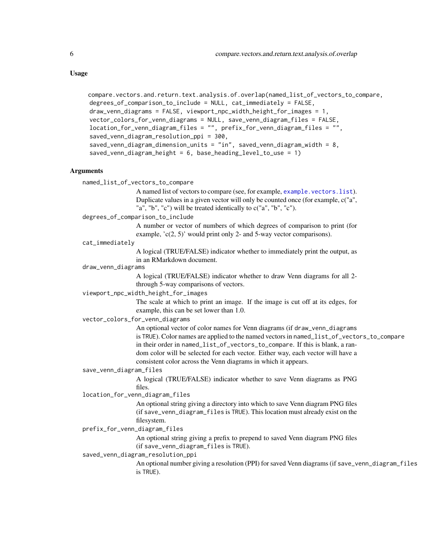```
compare.vectors.and.return.text.analysis.of.overlap(named_list_of_vectors_to_compare,
      degrees_of_comparison_to_include = NULL, cat_immediately = FALSE,
      draw_venn_diagrams = FALSE, viewport_npc_width_height_for_images = 1,
      vector_colors_for_venn_diagrams = NULL, save_venn_diagram_files = FALSE,
      location_for_venn_diagram_files = "", prefix_for_venn_diagram_files = "",
      saved_venn_diagram_resolution_ppi = 300,
      saved_venn_diagram_dimension_units = "in", saved_venn_diagram_width = 8,
      saved_venn_diagram_height = 6, base_heading_level_to_use = 1)
Arguments
    named_list_of_vectors_to_compare
                     A named list of vectors to compare (see, for example, example.vectors.list).
                     Duplicate values in a given vector will only be counted once (for example, c("a",
                     "a", "b", "c") will be treated identically to c("a", "b", "c").
    degrees_of_comparison_to_include
                     A number or vector of numbers of which degrees of comparison to print (for
                     example, 'c(2, 5)' would print only 2- and 5-way vector comparisons).
    cat_immediately
                     A logical (TRUE/FALSE) indicator whether to immediately print the output, as
                     in an RMarkdown document.
    draw_venn_diagrams
                     A logical (TRUE/FALSE) indicator whether to draw Venn diagrams for all 2-
                     through 5-way comparisons of vectors.
    viewport_npc_width_height_for_images
                     The scale at which to print an image. If the image is cut off at its edges, for
                     example, this can be set lower than 1.0.
    vector_colors_for_venn_diagrams
                     An optional vector of color names for Venn diagrams (if draw_venn_diagrams
                     is TRUE). Color names are applied to the named vectors in named_list_of_vectors_to_compare
                     in their order in named_list_of_vectors_to_compare. If this is blank, a ran-
                     dom color will be selected for each vector. Either way, each vector will have a
                     consistent color across the Venn diagrams in which it appears.
    save_venn_diagram_files
                     A logical (TRUE/FALSE) indicator whether to save Venn diagrams as PNG
                     files.
```
location\_for\_venn\_diagram\_files

An optional string giving a directory into which to save Venn diagram PNG files (if save\_venn\_diagram\_files is TRUE). This location must already exist on the filesystem.

prefix\_for\_venn\_diagram\_files

An optional string giving a prefix to prepend to saved Venn diagram PNG files (if save\_venn\_diagram\_files is TRUE).

saved\_venn\_diagram\_resolution\_ppi

An optional number giving a resolution (PPI) for saved Venn diagrams (if save\_venn\_diagram\_files is TRUE).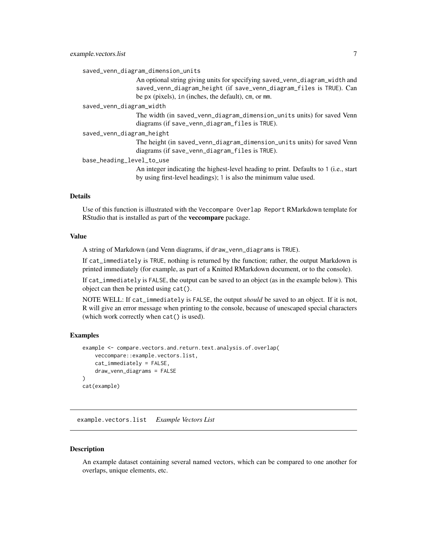<span id="page-6-0"></span>saved\_venn\_diagram\_dimension\_units

An optional string giving units for specifying saved\_venn\_diagram\_width and saved\_venn\_diagram\_height (if save\_venn\_diagram\_files is TRUE). Can be px (pixels), in (inches, the default), cm, or mm.

saved\_venn\_diagram\_width

The width (in saved\_venn\_diagram\_dimension\_units units) for saved Venn diagrams (if save\_venn\_diagram\_files is TRUE).

saved\_venn\_diagram\_height

The height (in saved\_venn\_diagram\_dimension\_units units) for saved Venn diagrams (if save\_venn\_diagram\_files is TRUE).

base\_heading\_level\_to\_use

An integer indicating the highest-level heading to print. Defaults to 1 (i.e., start by using first-level headings); 1 is also the minimum value used.

# Details

Use of this function is illustrated with the Veccompare Overlap Report RMarkdown template for RStudio that is installed as part of the veccompare package.

#### Value

A string of Markdown (and Venn diagrams, if draw\_venn\_diagrams is TRUE).

If cat\_immediately is TRUE, nothing is returned by the function; rather, the output Markdown is printed immediately (for example, as part of a Knitted RMarkdown document, or to the console).

If cat\_immediately is FALSE, the output can be saved to an object (as in the example below). This object can then be printed using cat().

NOTE WELL: If cat\_immediately is FALSE, the output *should* be saved to an object. If it is not, R will give an error message when printing to the console, because of unescaped special characters (which work correctly when cat() is used).

# Examples

```
example <- compare.vectors.and.return.text.analysis.of.overlap(
   veccompare::example.vectors.list,
    cat_immediately = FALSE,
   draw_venn_diagrams = FALSE
)
cat(example)
```
<span id="page-6-1"></span>example.vectors.list *Example Vectors List*

#### Description

An example dataset containing several named vectors, which can be compared to one another for overlaps, unique elements, etc.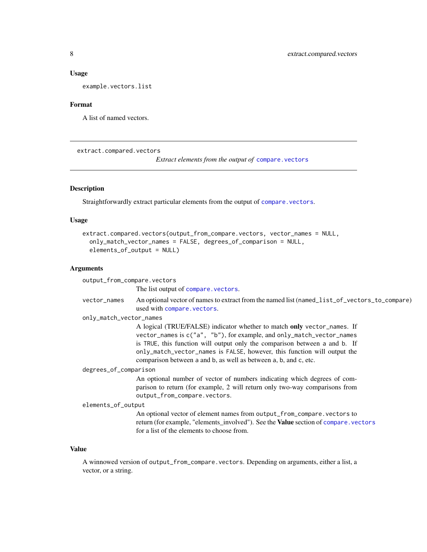#### <span id="page-7-0"></span>Usage

example.vectors.list

#### Format

A list of named vectors.

extract.compared.vectors

*Extract elements from the output of* [compare.vectors](#page-2-1)

# **Description**

Straightforwardly extract particular elements from the output of [compare.vectors](#page-2-1).

# Usage

```
extract.compared.vectors(output_from_compare.vectors, vector_names = NULL,
  only_match_vector_names = FALSE, degrees_of_comparison = NULL,
  elements_of_output = NULL)
```
## Arguments

output\_from\_compare.vectors

The list output of [compare.vectors](#page-2-1).

vector\_names An optional vector of names to extract from the named list (named\_list\_of\_vectors\_to\_compare) used with [compare.vectors](#page-2-1).

only\_match\_vector\_names

A logical (TRUE/FALSE) indicator whether to match only vector\_names. If vector\_names is c("a", "b"), for example, and only\_match\_vector\_names is TRUE, this function will output only the comparison between a and b. If only\_match\_vector\_names is FALSE, however, this function will output the comparison between a and b, as well as between a, b, and c, etc.

#### degrees\_of\_comparison

An optional number of vector of numbers indicating which degrees of comparison to return (for example, 2 will return only two-way comparisons from output\_from\_compare.vectors.

```
elements_of_output
```
An optional vector of element names from output\_from\_compare.vectors to return (for example, "elements\_involved"). See the Value section of [compare.vectors](#page-2-1) for a list of the elements to choose from.

#### Value

A winnowed version of output\_from\_compare.vectors. Depending on arguments, either a list, a vector, or a string.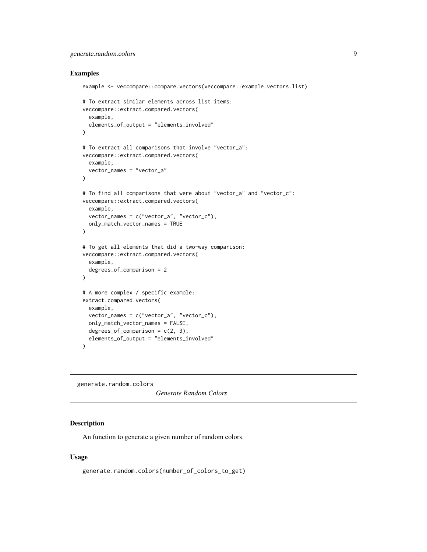# <span id="page-8-0"></span>generate.random.colors 9

### Examples

```
example <- veccompare::compare.vectors(veccompare::example.vectors.list)
# To extract similar elements across list items:
veccompare::extract.compared.vectors(
  example,
  elements_of_output = "elements_involved"
)
# To extract all comparisons that involve "vector_a":
veccompare::extract.compared.vectors(
  example,
  vector_names = "vector_a"
)
# To find all comparisons that were about "vector_a" and "vector_c":
veccompare::extract.compared.vectors(
  example,
  vector_names = c("vector_a", "vector_c"),
  only_match_vector_names = TRUE
)
# To get all elements that did a two-way comparison:
veccompare::extract.compared.vectors(
  example,
  degrees_of_comparison = 2
)
# A more complex / specific example:
extract.compared.vectors(
  example,
  vector_names = c("vector_a", "vector_c"),
  only_match_vector_names = FALSE,
  degrees_of_comparison = c(2, 3),
  elements_of_output = "elements_involved"
)
```
generate.random.colors

*Generate Random Colors*

#### Description

An function to generate a given number of random colors.

# Usage

generate.random.colors(number\_of\_colors\_to\_get)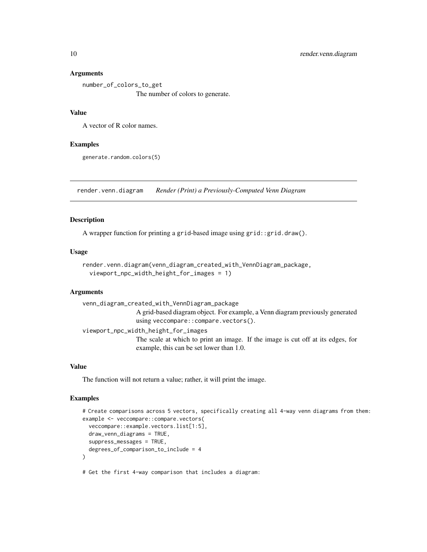#### Arguments

number\_of\_colors\_to\_get The number of colors to generate.

# Value

A vector of R color names.

#### Examples

generate.random.colors(5)

<span id="page-9-1"></span>render.venn.diagram *Render (Print) a Previously-Computed Venn Diagram*

#### Description

A wrapper function for printing a grid-based image using grid::grid.draw().

#### Usage

```
render.venn.diagram(venn_diagram_created_with_VennDiagram_package,
  viewport_npc_width_height_for_images = 1)
```
#### Arguments

venn\_diagram\_created\_with\_VennDiagram\_package A grid-based diagram object. For example, a Venn diagram previously generated using veccompare::compare.vectors(). viewport\_npc\_width\_height\_for\_images The scale at which to print an image. If the image is cut off at its edges, for example, this can be set lower than 1.0.

#### Value

The function will not return a value; rather, it will print the image.

# Examples

```
# Create comparisons across 5 vectors, specifically creating all 4-way venn diagrams from them:
example <- veccompare::compare.vectors(
 veccompare::example.vectors.list[1:5],
 draw_venn_diagrams = TRUE,
 suppress_messages = TRUE,
 degrees_of_comparison_to_include = 4
)
# Get the first 4-way comparison that includes a diagram:
```
<span id="page-9-0"></span>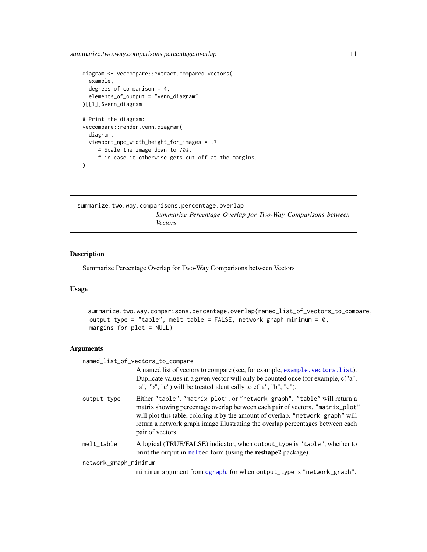<span id="page-10-0"></span>summarize.two.way.comparisons.percentage.overlap 11

```
diagram <- veccompare::extract.compared.vectors(
 example,
 degrees_of_comparison = 4,
 elements_of_output = "venn_diagram"
)[[1]]$venn_diagram
# Print the diagram:
veccompare::render.venn.diagram(
 diagram,
 viewport_npc_width_height_for_images = .7
     # Scale the image down to 70%,
     # in case it otherwise gets cut off at the margins.
\mathcal{L}
```

```
summarize.two.way.comparisons.percentage.overlap
                       Summarize Percentage Overlap for Two-Way Comparisons between
                        Vectors
```
# Description

Summarize Percentage Overlap for Two-Way Comparisons between Vectors

#### Usage

```
summarize.two.way.comparisons.percentage.overlap(named_list_of_vectors_to_compare,
output_type = "table", melt_table = FALSE, network_graph_minimum = 0,
margins_for_plot = NULL)
```
# Arguments

named\_list\_of\_vectors\_to\_compare

|                       | A named list of vectors to compare (see, for example, example, vectors, list).<br>Duplicate values in a given vector will only be counted once (for example, c("a",<br>"a", "b", "c") will be treated identically to $c("a", "b", "c").$                                                                                                            |
|-----------------------|-----------------------------------------------------------------------------------------------------------------------------------------------------------------------------------------------------------------------------------------------------------------------------------------------------------------------------------------------------|
| output_type           | Either "table", "matrix_plot", or "network_graph". "table" will return a<br>matrix showing percentage overlap between each pair of vectors. "matrix_plot"<br>will plot this table, coloring it by the amount of overlap. "network_graph" will<br>return a network graph image illustrating the overlap percentages between each<br>pair of vectors. |
| melt_table            | A logical (TRUE/FALSE) indicator, when output_type is "table", whether to<br>print the output in melted form (using the <b>reshape2</b> package).                                                                                                                                                                                                   |
| network_graph_minimum |                                                                                                                                                                                                                                                                                                                                                     |

minimum argument from [qgraph](#page-0-0), for when output\_type is "network\_graph".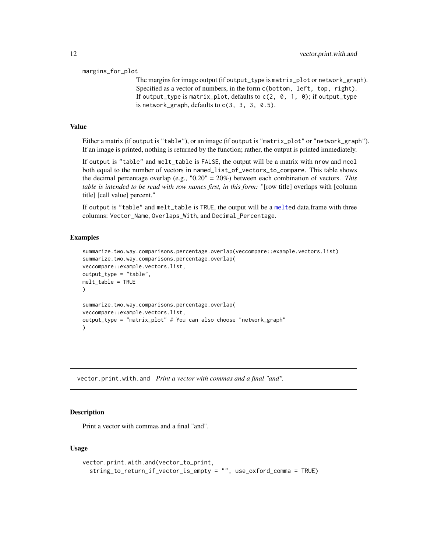#### <span id="page-11-0"></span>margins\_for\_plot

The margins for image output (if output\_type is matrix\_plot or network\_graph). Specified as a vector of numbers, in the form c(bottom, left, top, right). If output\_type is matrix\_plot, defaults to  $c(2, 0, 1, 0)$ ; if output\_type is network\_graph, defaults to  $c(3, 3, 3, 0.5)$ .

#### Value

Either a matrix (if output is "table"), or an image (if output is "matrix\_plot" or "network\_graph"). If an image is printed, nothing is returned by the function; rather, the output is printed immediately.

If output is "table" and melt\_table is FALSE, the output will be a matrix with nrow and ncol both equal to the number of vectors in named\_list\_of\_vectors\_to\_compare. This table shows the decimal percentage overlap (e.g., "0.20" = 20%) between each combination of vectors. *This table is intended to be read with row names first, in this form:* "[row title] overlaps with [column title] [cell value] percent."

If output is "table" and melt\_table is TRUE, the output will be a [melte](#page-0-0)d data.frame with three columns: Vector\_Name, Overlaps\_With, and Decimal\_Percentage.

### Examples

```
summarize.two.way.comparisons.percentage.overlap(veccompare::example.vectors.list)
summarize.two.way.comparisons.percentage.overlap(
veccompare::example.vectors.list,
output_type = "table",
melt table = TRUE\lambdasummarize.two.way.comparisons.percentage.overlap(
veccompare::example.vectors.list,
output_type = "matrix_plot" # You can also choose "network_graph"
)
```
vector.print.with.and *Print a vector with commas and a final "and".*

# **Description**

Print a vector with commas and a final "and".

# Usage

```
vector.print.with.and(vector_to_print,
  string_to_return_if_vector_is_empty = "", use_oxford_comma = TRUE)
```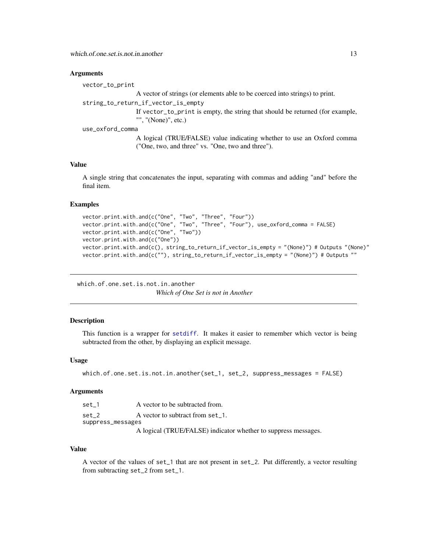#### <span id="page-12-0"></span>**Arguments**

vector\_to\_print

A vector of strings (or elements able to be coerced into strings) to print.

string\_to\_return\_if\_vector\_is\_empty

If vector\_to\_print is empty, the string that should be returned (for example, "", "(None)", etc.)

use\_oxford\_comma

A logical (TRUE/FALSE) value indicating whether to use an Oxford comma ("One, two, and three" vs. "One, two and three").

# Value

A single string that concatenates the input, separating with commas and adding "and" before the final item.

#### Examples

```
vector.print.with.and(c("One", "Two", "Three", "Four"))
vector.print.with.and(c("One", "Two", "Three", "Four"), use_oxford_comma = FALSE)
vector.print.with.and(c("One", "Two"))
vector.print.with.and(c("One"))
vector.print.with.and(c(), string_to_return_if_vector_is_empty = "(None)") # Outputs "(None)"
vector.print.with.and(c(""), string_to_return_if_vector_is_empty = "(None)") # Outputs ""
```
which.of.one.set.is.not.in.another *Which of One Set is not in Another*

#### Description

This function is a wrapper for [setdiff](#page-0-0). It makes it easier to remember which vector is being subtracted from the other, by displaying an explicit message.

#### Usage

```
which.of.one.set.is.not.in.another(set_1, set_2, suppress_messages = FALSE)
```
### Arguments

set<sub>-1</sub> A vector to be subtracted from. set<sub>-2</sub> A vector to subtract from set<sub>-1</sub>. suppress\_messages A logical (TRUE/FALSE) indicator whether to suppress messages.

#### Value

A vector of the values of set\_1 that are not present in set\_2. Put differently, a vector resulting from subtracting set\_2 from set\_1.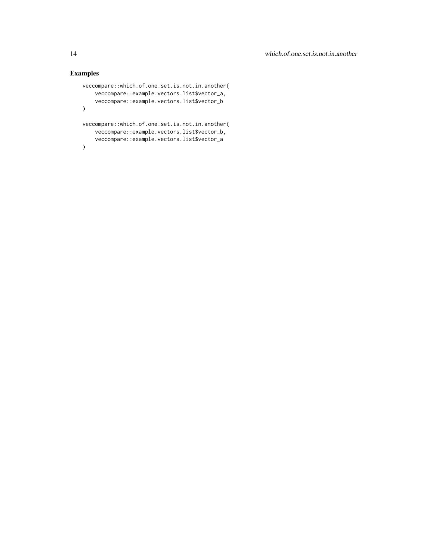# Examples

```
veccompare::which.of.one.set.is.not.in.another(
    veccompare::example.vectors.list$vector_a,
    veccompare::example.vectors.list$vector_b
\mathcal{L}veccompare::which.of.one.set.is.not.in.another(
    veccompare::example.vectors.list$vector_b,
    veccompare::example.vectors.list$vector_a
\mathcal{L}
```